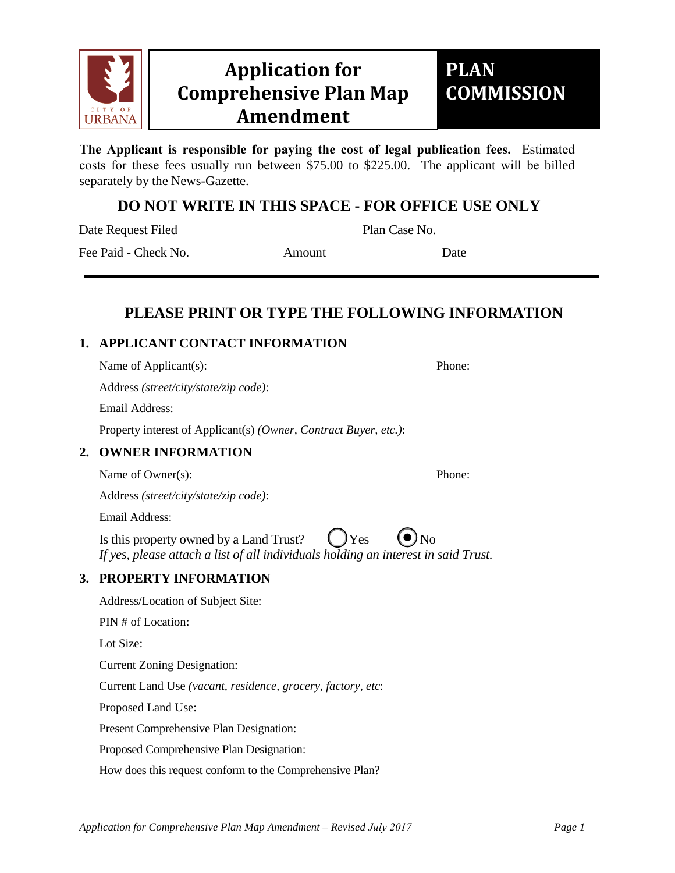

## **Comprehensive Plan Map Application for Amendment**

# **PLAN COMMISSION**

**The Applicant is responsible for paying the cost of legal publication fees.** Estimated costs for these fees usually run between \$75.00 to \$225.00. The applicant will be billed separately by the News-Gazette.

### **DO NOT WRITE IN THIS SPACE - FOR OFFICE USE ONLY**

Date Request Filed Plan Case No.

Fee Paid - Check No. Amount Date

## **PLEASE PRINT OR TYPE THE FOLLOWING INFORMATION**

#### **1. APPLICANT CONTACT INFORMATION**

Name of Applicant(s): Phone:

Address *(street/city/state/zip code)*:

Email Address:

Property interest of Applicant(s) *(Owner, Contract Buyer, etc.)*:

#### **2. OWNER INFORMATION**

Name of Owner(s): Phone:

Address *(street/city/state/zip code)*:

Email Address:

Is this property owned by a Land Trust?  $\bigcirc$  Yes *If yes, please attach a list of all individuals holding an interest in said Trust.*

#### **3. PROPERTY INFORMATION**

Address/Location of Subject Site:

PIN # of Location:

Lot Size:

Current Zoning Designation:

Current Land Use *(vacant, residence, grocery, factory, etc*:

Proposed Land Use:

Present Comprehensive Plan Designation:

Proposed Comprehensive Plan Designation:

How does this request conform to the Comprehensive Plan?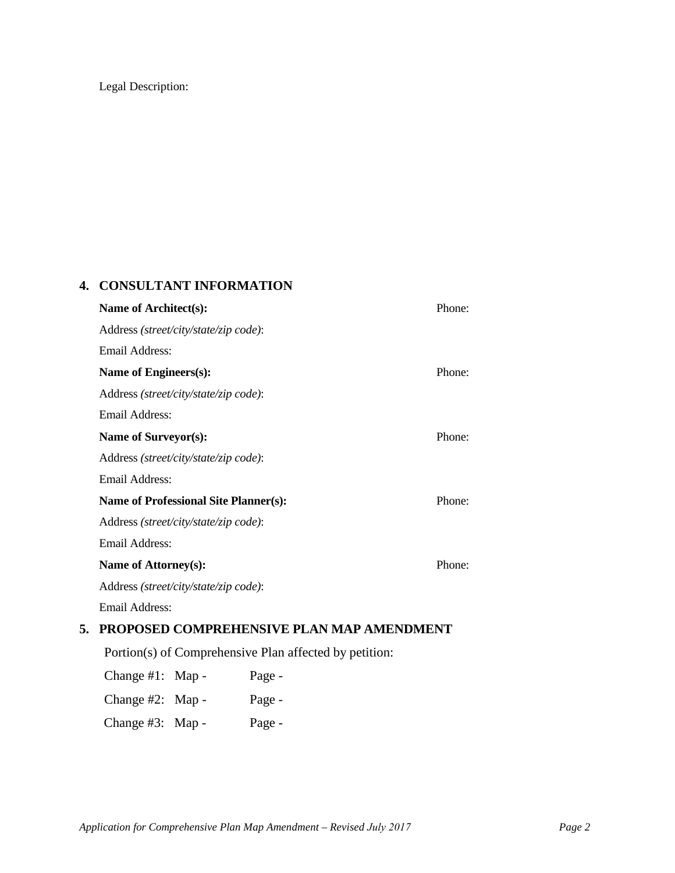#### Legal Description:

#### **4. CONSULTANT INFORMATION**

|    | Name of Architect(s):                                  | Phone: |  |
|----|--------------------------------------------------------|--------|--|
|    | Address (street/city/state/zip code):                  |        |  |
|    | Email Address:                                         |        |  |
|    | Name of Engineers(s):                                  | Phone: |  |
|    | Address (street/city/state/zip code):                  |        |  |
|    | Email Address:                                         |        |  |
|    | Name of Surveyor(s):                                   | Phone: |  |
|    | Address (street/city/state/zip code):                  |        |  |
|    | Email Address:                                         |        |  |
|    | <b>Name of Professional Site Planner(s):</b>           | Phone: |  |
|    | Address (street/city/state/zip code):                  |        |  |
|    | Email Address:                                         |        |  |
|    | Name of Attorney(s):                                   | Phone: |  |
|    | Address (street/city/state/zip code):                  |        |  |
|    | Email Address:                                         |        |  |
| 5. | PROPOSED COMPREHENSIVE PLAN MAP AMENDMENT              |        |  |
|    | Portion(s) of Comprehensive Plan affected by petition: |        |  |

| Change $#1$ : Map - | Page - |
|---------------------|--------|
| Change $#2$ : Map - | Page - |
| Change #3: Map -    | Page - |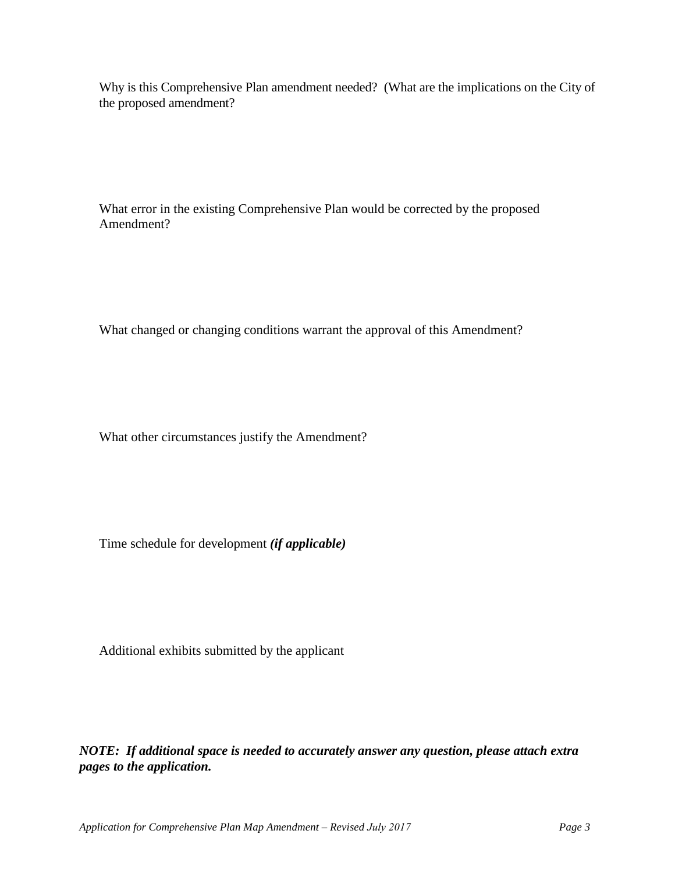Why is this Comprehensive Plan amendment needed? (What are the implications on the City of the proposed amendment?

What error in the existing Comprehensive Plan would be corrected by the proposed Amendment?

What changed or changing conditions warrant the approval of this Amendment?

What other circumstances justify the Amendment?

Time schedule for development *(if applicable)*

Additional exhibits submitted by the applicant

*NOTE: If additional space is needed to accurately answer any question, please attach extra pages to the application.*